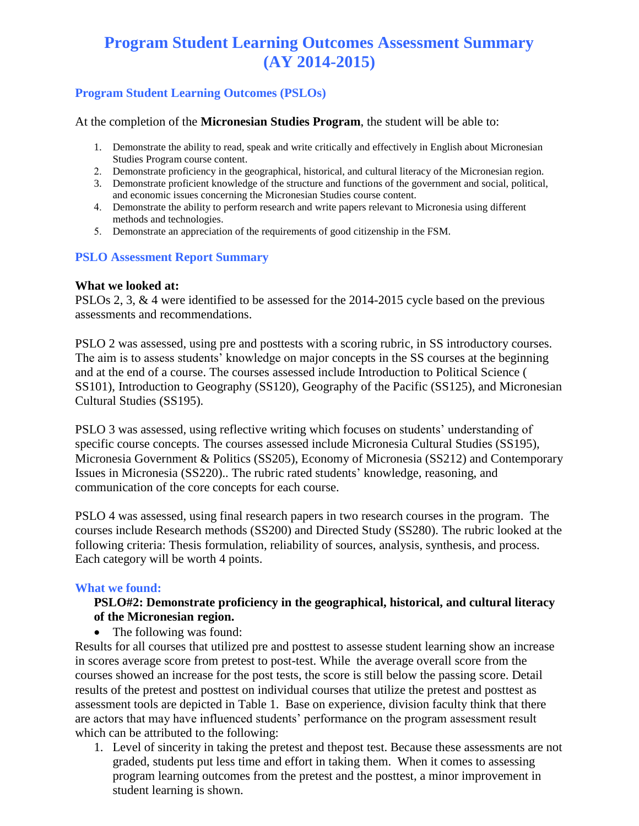# **Program Student Learning Outcomes Assessment Summary (AY 2014-2015)**

# **Program Student Learning Outcomes (PSLOs)**

At the completion of the **Micronesian Studies Program**, the student will be able to:

- 1. Demonstrate the ability to read, speak and write critically and effectively in English about Micronesian Studies Program course content.
- 2. Demonstrate proficiency in the geographical, historical, and cultural literacy of the Micronesian region.
- 3. Demonstrate proficient knowledge of the structure and functions of the government and social, political, and economic issues concerning the Micronesian Studies course content.
- 4. Demonstrate the ability to perform research and write papers relevant to Micronesia using different methods and technologies.
- 5. Demonstrate an appreciation of the requirements of good citizenship in the FSM.

## **PSLO Assessment Report Summary**

#### **What we looked at:**

PSLOs 2, 3, & 4 were identified to be assessed for the 2014-2015 cycle based on the previous assessments and recommendations.

PSLO 2 was assessed, using pre and posttests with a scoring rubric, in SS introductory courses. The aim is to assess students' knowledge on major concepts in the SS courses at the beginning and at the end of a course. The courses assessed include Introduction to Political Science ( SS101), Introduction to Geography (SS120), Geography of the Pacific (SS125), and Micronesian Cultural Studies (SS195).

PSLO 3 was assessed, using reflective writing which focuses on students' understanding of specific course concepts. The courses assessed include Micronesia Cultural Studies (SS195), Micronesia Government & Politics (SS205), Economy of Micronesia (SS212) and Contemporary Issues in Micronesia (SS220).. The rubric rated students' knowledge, reasoning, and communication of the core concepts for each course.

PSLO 4 was assessed, using final research papers in two research courses in the program. The courses include Research methods (SS200) and Directed Study (SS280). The rubric looked at the following criteria: Thesis formulation, reliability of sources, analysis, synthesis, and process. Each category will be worth 4 points.

#### **What we found:**

## **PSLO#2: Demonstrate proficiency in the geographical, historical, and cultural literacy of the Micronesian region.**

• The following was found:

Results for all courses that utilized pre and posttest to assesse student learning show an increase in scores average score from pretest to post-test. While the average overall score from the courses showed an increase for the post tests, the score is still below the passing score. Detail results of the pretest and posttest on individual courses that utilize the pretest and posttest as assessment tools are depicted in Table 1. Base on experience, division faculty think that there are actors that may have influenced students' performance on the program assessment result which can be attributed to the following:

1. Level of sincerity in taking the pretest and thepost test. Because these assessments are not graded, students put less time and effort in taking them. When it comes to assessing program learning outcomes from the pretest and the posttest, a minor improvement in student learning is shown.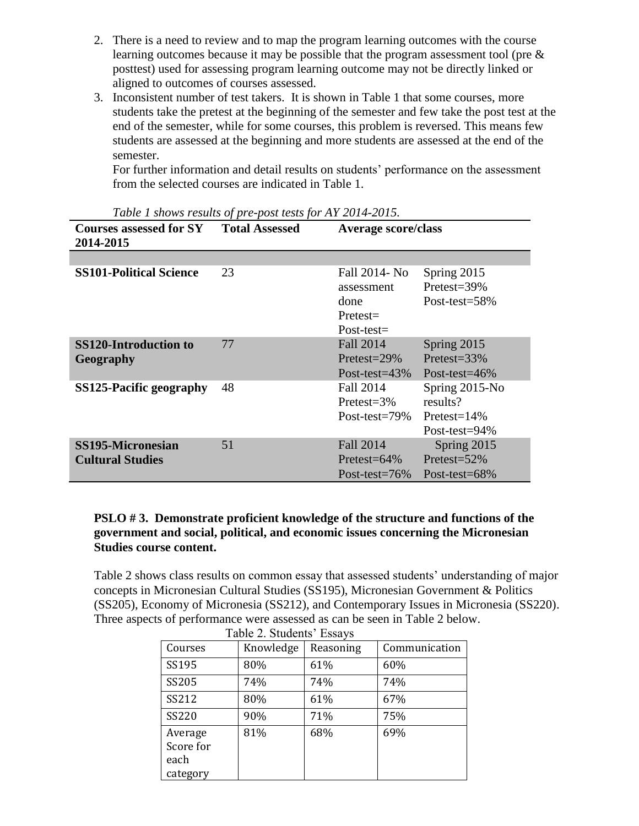- 2. There is a need to review and to map the program learning outcomes with the course learning outcomes because it may be possible that the program assessment tool (pre & posttest) used for assessing program learning outcome may not be directly linked or aligned to outcomes of courses assessed.
- 3. Inconsistent number of test takers. It is shown in Table 1 that some courses, more students take the pretest at the beginning of the semester and few take the post test at the end of the semester, while for some courses, this problem is reversed. This means few students are assessed at the beginning and more students are assessed at the end of the semester.

For further information and detail results on students' performance on the assessment from the selected courses are indicated in Table 1.

| <b>Courses assessed for SY</b> Total Assessed<br>2014-2015 |    |                                                                     | Table 1 shows results by pre-post lests for $\Delta t$ 2014-2015.<br><b>Average score/class</b> |  |  |
|------------------------------------------------------------|----|---------------------------------------------------------------------|-------------------------------------------------------------------------------------------------|--|--|
|                                                            |    |                                                                     |                                                                                                 |  |  |
| <b>SS101-Political Science</b>                             | 23 | Fall 2014- No<br>assessment<br>done<br>$Pretest =$<br>$Post-test =$ | Spring 2015<br>Pretest=39%<br>Post-test=58%                                                     |  |  |
| <b>SS120-Introduction to</b><br>Geography                  | 77 | <b>Fall 2014</b><br>Pretest= $29\%$<br>Post-test= $43\%$            | Spring 2015<br>Pretest= $33\%$<br>Post-test= $46\%$                                             |  |  |
| SS125-Pacific geography                                    | 48 | Fall 2014<br>$Pretest = 3\%$<br>Post-test= $79\%$                   | Spring 2015-No<br>results?<br>$Pretest=14%$<br>Post-test= $94\%$                                |  |  |
| <b>SS195-Micronesian</b><br><b>Cultural Studies</b>        | 51 | <b>Fall 2014</b><br>Pretest= $64\%$<br>Post-test= $76\%$            | Spring 2015<br>Pretest= $52\%$<br>Post-test= $68\%$                                             |  |  |

*Table 1 shows results of pre-post tests for AY 2014-2015.*

## **PSLO # 3. Demonstrate proficient knowledge of the structure and functions of the government and social, political, and economic issues concerning the Micronesian Studies course content.**

Table 2 shows class results on common essay that assessed students' understanding of major concepts in Micronesian Cultural Studies (SS195), Micronesian Government & Politics (SS205), Economy of Micronesia (SS212), and Contemporary Issues in Micronesia (SS220). Three aspects of performance were assessed as can be seen in Table 2 below.

| Table 2. Students Essays                 |           |           |               |  |  |  |  |  |  |
|------------------------------------------|-----------|-----------|---------------|--|--|--|--|--|--|
| Courses                                  | Knowledge | Reasoning | Communication |  |  |  |  |  |  |
| SS195                                    | 80%       | 61%       | 60%           |  |  |  |  |  |  |
| SS205                                    | 74%       | 74%       | 74%           |  |  |  |  |  |  |
| SS212                                    | 80%       | 61%       | 67%           |  |  |  |  |  |  |
| SS220                                    | 90%       | 71%       | 75%           |  |  |  |  |  |  |
| Average<br>Score for<br>each<br>category | 81%       | 68%       | 69%           |  |  |  |  |  |  |

Table 2. Students' Essays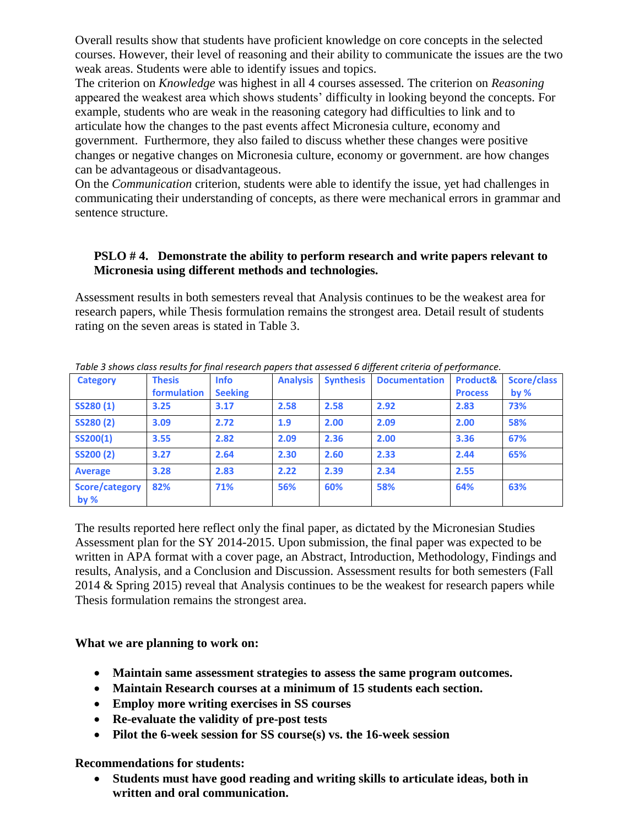Overall results show that students have proficient knowledge on core concepts in the selected courses. However, their level of reasoning and their ability to communicate the issues are the two weak areas. Students were able to identify issues and topics.

The criterion on *Knowledge* was highest in all 4 courses assessed. The criterion on *Reasoning* appeared the weakest area which shows students' difficulty in looking beyond the concepts. For example, students who are weak in the reasoning category had difficulties to link and to articulate how the changes to the past events affect Micronesia culture, economy and government. Furthermore, they also failed to discuss whether these changes were positive changes or negative changes on Micronesia culture, economy or government. are how changes can be advantageous or disadvantageous.

On the *Communication* criterion, students were able to identify the issue, yet had challenges in communicating their understanding of concepts, as there were mechanical errors in grammar and sentence structure.

## **PSLO # 4. Demonstrate the ability to perform research and write papers relevant to Micronesia using different methods and technologies.**

Assessment results in both semesters reveal that Analysis continues to be the weakest area for research papers, while Thesis formulation remains the strongest area. Detail result of students rating on the seven areas is stated in Table 3.

| Table 3 shows class results for final research papers that assessed 6 different criteria of performance. |               |                |                 |      |                                |                |             |  |  |
|----------------------------------------------------------------------------------------------------------|---------------|----------------|-----------------|------|--------------------------------|----------------|-------------|--|--|
| <b>Category</b>                                                                                          | <b>Thesis</b> | <b>Info</b>    | <b>Analysis</b> |      | <b>Synthesis Documentation</b> | Product&       | Score/class |  |  |
|                                                                                                          | formulation   | <b>Seeking</b> |                 |      |                                | <b>Process</b> | by $%$      |  |  |
| SS280(1)                                                                                                 | 3.25          | 3.17           | 2.58            | 2.58 | 2.92                           | 2.83           | 73%         |  |  |
| <b>SS280(2)</b>                                                                                          | 3.09          | 2.72           | 1.9             | 2.00 | 2.09                           | 2.00           | 58%         |  |  |
| SS200(1)                                                                                                 | 3.55          | 2.82           | 2.09            | 2.36 | 2.00                           | 3.36           | 67%         |  |  |
| <b>SS200 (2)</b>                                                                                         | 3.27          | 2.64           | 2.30            | 2.60 | 2.33                           | 2.44           | 65%         |  |  |
| <b>Average</b>                                                                                           | 3.28          | 2.83           | 2.22            | 2.39 | 2.34                           | 2.55           |             |  |  |
| Score/category<br>by $%$                                                                                 | 82%           | 71%            | 56%             | 60%  | 58%                            | 64%            | 63%         |  |  |

*Table 3 shows class results for final research papers that assessed 6 different criteria of performance.*

The results reported here reflect only the final paper, as dictated by the Micronesian Studies Assessment plan for the SY 2014-2015. Upon submission, the final paper was expected to be written in APA format with a cover page, an Abstract, Introduction, Methodology, Findings and results, Analysis, and a Conclusion and Discussion. Assessment results for both semesters (Fall 2014 & Spring 2015) reveal that Analysis continues to be the weakest for research papers while Thesis formulation remains the strongest area.

## **What we are planning to work on:**

- **Maintain same assessment strategies to assess the same program outcomes.**
- **Maintain Research courses at a minimum of 15 students each section.**
- **Employ more writing exercises in SS courses**
- **Re-evaluate the validity of pre-post tests**
- **Pilot the 6-week session for SS course(s) vs. the 16-week session**

#### **Recommendations for students:**

 **Students must have good reading and writing skills to articulate ideas, both in written and oral communication.**